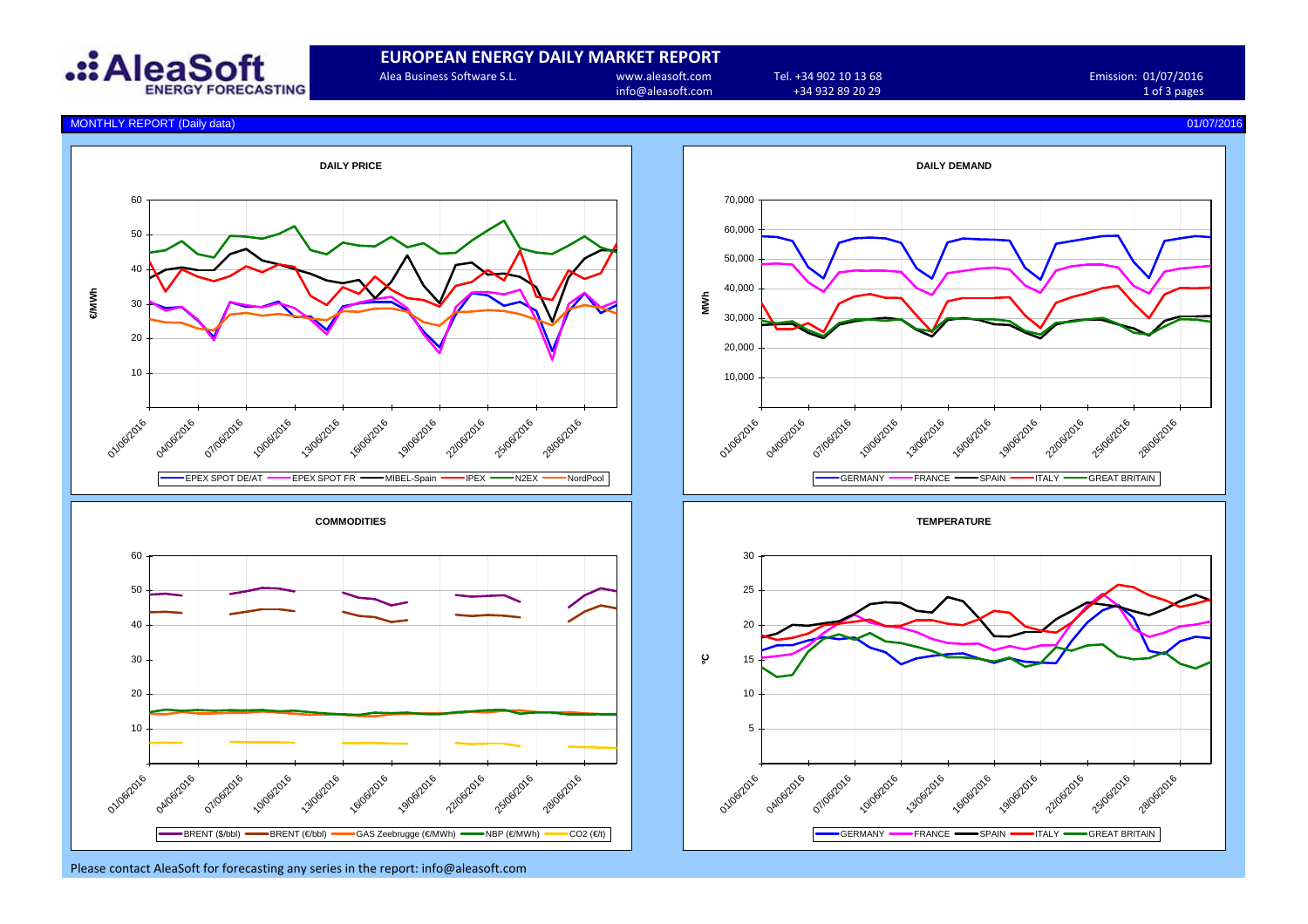

# **EUROPEAN ENERGY DAILY MARKET REPORT**

Alea Business Software S.L.

 $info@alesoft.com$   $+34932892029$ www.aleasoft.com

Tel. +34 902 10 13 68

Emission: 01/07/20161 of 3 pages

01/07/2016

## MONTHLY REPORT (Daily data)



Please contact AleaSoft for forecasting any series in the report: info@aleasoft.com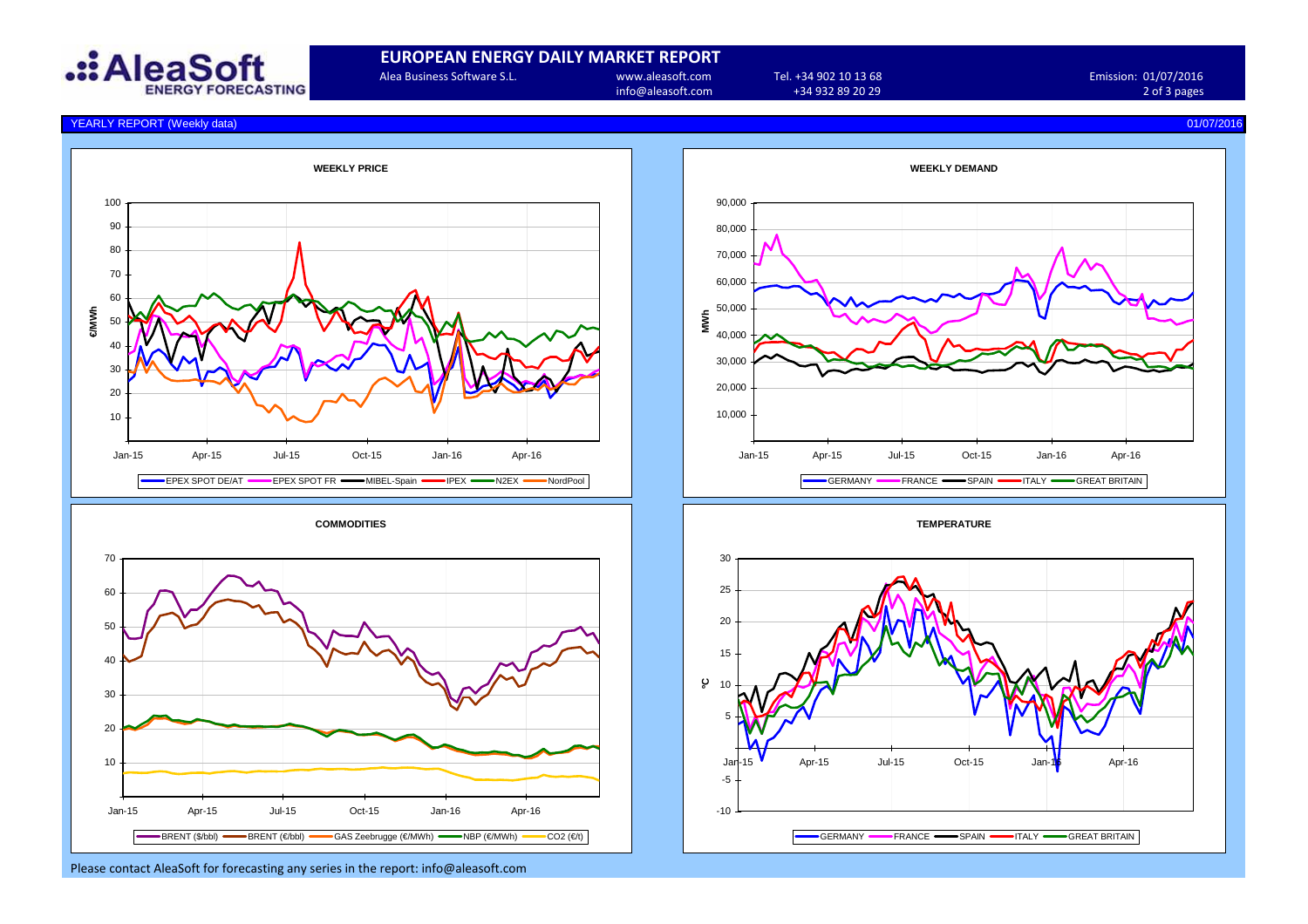

# **EUROPEAN ENERGY DAILY MARKET REPORT**

Alea Business Software S.L.

 www.aleasoft.com $info@alesoft.com$ 

Tel. +34 902 10 13 68 Emission: 01/07/2016

### YEARLY REPORT (Weekly data)





Please contact AleaSoft for forecasting any series in the report: info@aleasoft.com



**TEMPERATURE**



01/07/2016